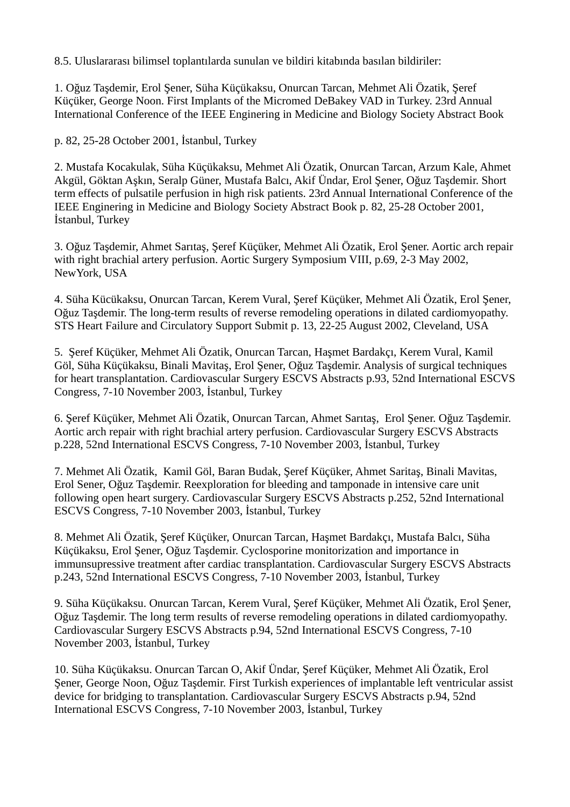8.5. Uluslararası bilimsel toplantılarda sunulan ve bildiri kitabında basılan bildiriler:

1. Oğuz Taşdemir, Erol Şener, Süha Küçükaksu, Onurcan Tarcan, Mehmet Ali Özatik, Şeref Küçüker, George Noon. First Implants of the Micromed DeBakey VAD in Turkey. 23rd Annual International Conference of the IEEE Enginering in Medicine and Biology Society Abstract Book

p. 82, 25-28 October 2001, İstanbul, Turkey

2. Mustafa Kocakulak, Süha Küçükaksu, Mehmet Ali Özatik, Onurcan Tarcan, Arzum Kale, Ahmet Akgül, Göktan Aşkın, Seralp Güner, Mustafa Balcı, Akif Ündar, Erol Şener, Oğuz Taşdemir. Short term effects of pulsatile perfusion in high risk patients. 23rd Annual International Conference of the IEEE Enginering in Medicine and Biology Society Abstract Book p. 82, 25-28 October 2001, İstanbul, Turkey

3. Oğuz Taşdemir, Ahmet Sarıtaş, Şeref Küçüker, Mehmet Ali Özatik, Erol Şener. Aortic arch repair with right brachial artery perfusion. Aortic Surgery Symposium VIII, p.69, 2-3 May 2002, NewYork, USA

4. Süha Kücükaksu, Onurcan Tarcan, Kerem Vural, Şeref Küçüker, Mehmet Ali Özatik, Erol Şener, Oğuz Taşdemir. The long-term results of reverse remodeling operations in dilated cardiomyopathy. STS Heart Failure and Circulatory Support Submit p. 13, 22-25 August 2002, Cleveland, USA

5. Şeref Küçüker, Mehmet Ali Özatik, Onurcan Tarcan, Haşmet Bardakçı, Kerem Vural, Kamil Göl, Süha Küçükaksu, Binali Mavitaş, Erol Şener, Oğuz Taşdemir. Analysis of surgical techniques for heart transplantation. Cardiovascular Surgery ESCVS Abstracts p.93, 52nd International ESCVS Congress, 7-10 November 2003, İstanbul, Turkey

6. Şeref Küçüker, Mehmet Ali Özatik, Onurcan Tarcan, Ahmet Sarıtaş, Erol Şener. Oğuz Taşdemir. Aortic arch repair with right brachial artery perfusion. Cardiovascular Surgery ESCVS Abstracts p.228, 52nd International ESCVS Congress, 7-10 November 2003, İstanbul, Turkey

7. Mehmet Ali Özatik, Kamil Göl, Baran Budak, Şeref Küçüker, Ahmet Saritaş, Binali Mavitas, Erol Sener, Oğuz Taşdemir. Reexploration for bleeding and tamponade in intensive care unit following open heart surgery. Cardiovascular Surgery ESCVS Abstracts p.252, 52nd International ESCVS Congress, 7-10 November 2003, İstanbul, Turkey

8. Mehmet Ali Özatik, Şeref Küçüker, Onurcan Tarcan, Haşmet Bardakçı, Mustafa Balcı, Süha Küçükaksu, Erol Şener, Oğuz Taşdemir. Cyclosporine monitorization and importance in immunsupressive treatment after cardiac transplantation. Cardiovascular Surgery ESCVS Abstracts p.243, 52nd International ESCVS Congress, 7-10 November 2003, İstanbul, Turkey

9. Süha Küçükaksu. Onurcan Tarcan, Kerem Vural, Şeref Küçüker, Mehmet Ali Özatik, Erol Şener, Oğuz Taşdemir. The long term results of reverse remodeling operations in dilated cardiomyopathy. Cardiovascular Surgery ESCVS Abstracts p.94, 52nd International ESCVS Congress, 7-10 November 2003, İstanbul, Turkey

10. Süha Küçükaksu. Onurcan Tarcan O, Akif Ündar, Şeref Küçüker, Mehmet Ali Özatik, Erol Şener, George Noon, Oğuz Taşdemir. First Turkish experiences of implantable left ventricular assist device for bridging to transplantation. Cardiovascular Surgery ESCVS Abstracts p.94, 52nd International ESCVS Congress, 7-10 November 2003, İstanbul, Turkey